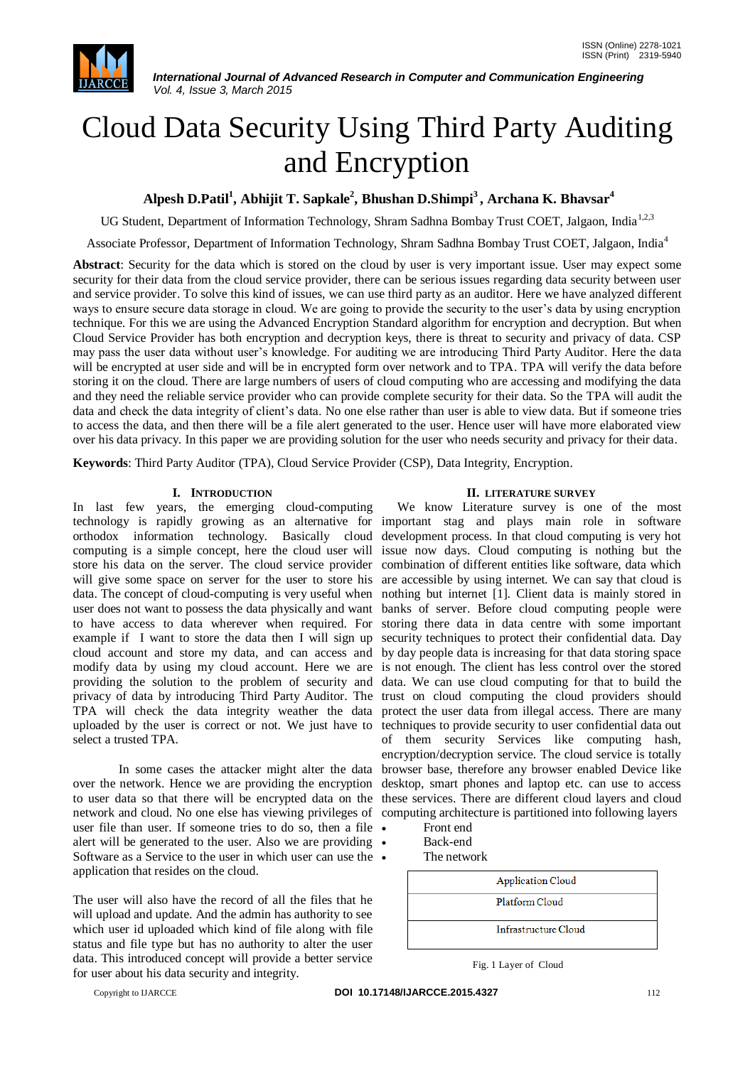

*International Journal of Advanced Research in Computer and Communication Engineering Vol. 4, Issue 3, March 2015*

# Cloud Data Security Using Third Party Auditing and Encryption

**Alpesh D.Patil<sup>1</sup> , Abhijit T. Sapkale<sup>2</sup> , Bhushan D.Shimpi<sup>3</sup>, Archana K. Bhavsar<sup>4</sup>**

UG Student, Department of Information Technology, Shram Sadhna Bombay Trust COET, Jalgaon, India<sup>1,2,3</sup>

Associate Professor, Department of Information Technology, Shram Sadhna Bombay Trust COET, Jalgaon, India<sup>4</sup>

**Abstract**: Security for the data which is stored on the cloud by user is very important issue. User may expect some security for their data from the cloud service provider, there can be serious issues regarding data security between user and service provider. To solve this kind of issues, we can use third party as an auditor. Here we have analyzed different ways to ensure secure data storage in cloud. We are going to provide the security to the user's data by using encryption technique. For this we are using the Advanced Encryption Standard algorithm for encryption and decryption. But when Cloud Service Provider has both encryption and decryption keys, there is threat to security and privacy of data. CSP may pass the user data without user's knowledge. For auditing we are introducing Third Party Auditor. Here the data will be encrypted at user side and will be in encrypted form over network and to TPA. TPA will verify the data before storing it on the cloud. There are large numbers of users of cloud computing who are accessing and modifying the data and they need the reliable service provider who can provide complete security for their data. So the TPA will audit the data and check the data integrity of client's data. No one else rather than user is able to view data. But if someone tries to access the data, and then there will be a file alert generated to the user. Hence user will have more elaborated view over his data privacy. In this paper we are providing solution for the user who needs security and privacy for their data.

**Keywords**: Third Party Auditor (TPA), Cloud Service Provider (CSP), Data Integrity, Encryption.

# **I. INTRODUCTION**

In last few years, the emerging cloud-computing technology is rapidly growing as an alternative for important stag and plays main role in software orthodox information technology. Basically cloud computing is a simple concept, here the cloud user will store his data on the server. The cloud service provider will give some space on server for the user to store his data. The concept of cloud-computing is very useful when user does not want to possess the data physically and want to have access to data wherever when required. For example if I want to store the data then I will sign up cloud account and store my data, and can access and modify data by using my cloud account. Here we are providing the solution to the problem of security and privacy of data by introducing Third Party Auditor. The TPA will check the data integrity weather the data uploaded by the user is correct or not. We just have to select a trusted TPA.

In some cases the attacker might alter the data over the network. Hence we are providing the encryption network and cloud. No one else has viewing privileges of computing architecture is partitioned into following layers user file than user. If someone tries to do so, then a file • alert will be generated to the user. Also we are providing  $\bullet$ Software as a Service to the user in which user can use the  $\bullet$ application that resides on the cloud.

The user will also have the record of all the files that he will upload and update. And the admin has authority to see which user id uploaded which kind of file along with file status and file type but has no authority to alter the user data. This introduced concept will provide a better service for user about his data security and integrity.

#### **II. LITERATURE SURVEY**

to user data so that there will be encrypted data on the these services. There are different cloud layers and cloud We know Literature survey is one of the most development process. In that cloud computing is very hot issue now days. Cloud computing is nothing but the combination of different entities like software, data which are accessible by using internet. We can say that cloud is nothing but internet [1]. Client data is mainly stored in banks of server. Before cloud computing people were storing there data in data centre with some important security techniques to protect their confidential data. Day by day people data is increasing for that data storing space is not enough. The client has less control over the stored data. We can use cloud computing for that to build the trust on cloud computing the cloud providers should protect the user data from illegal access. There are many techniques to provide security to user confidential data out of them security Services like computing hash, encryption/decryption service. The cloud service is totally browser base, therefore any browser enabled Device like desktop, smart phones and laptop etc. can use to access

- Front end
- Back-end
- The network



Fig. 1 Layer of Cloud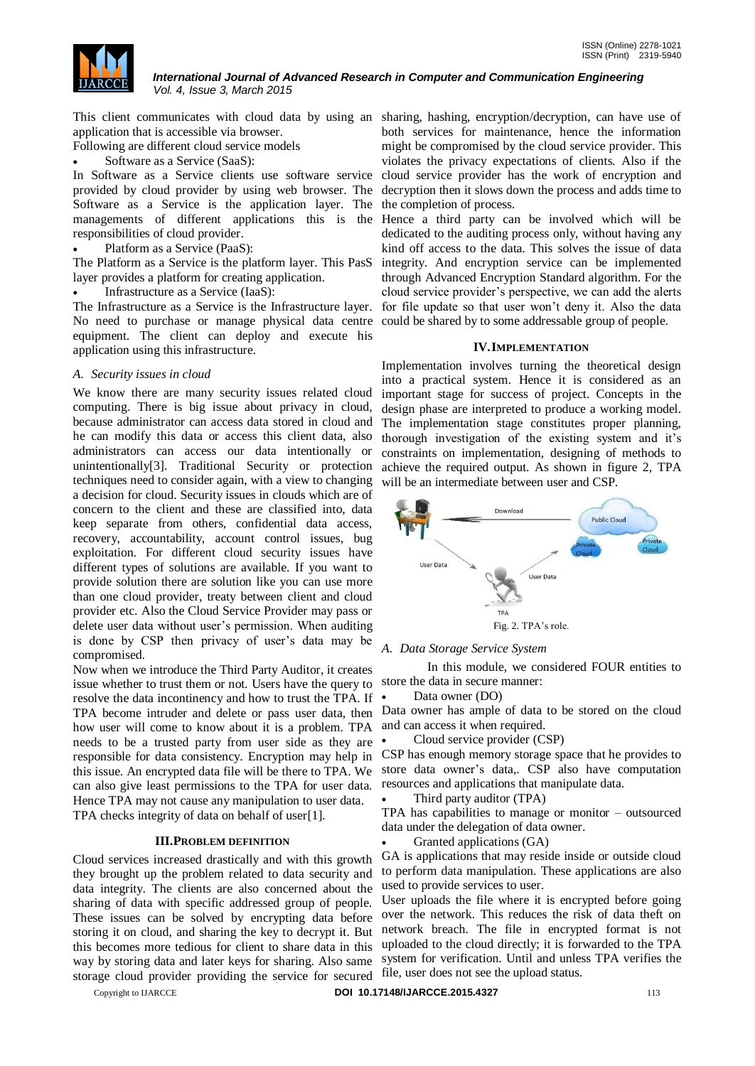

*International Journal of Advanced Research in Computer and Communication Engineering Vol. 4, Issue 3, March 2015*

application that is accessible via browser.

Following are different cloud service models

Software as a Service (SaaS):

In Software as a Service clients use software service provided by cloud provider by using web browser. The Software as a Service is the application layer. The managements of different applications this is the responsibilities of cloud provider.

Platform as a Service (PaaS):

The Platform as a Service is the platform layer. This PasS layer provides a platform for creating application.

Infrastructure as a Service (IaaS):

The Infrastructure as a Service is the Infrastructure layer. No need to purchase or manage physical data centre equipment. The client can deploy and execute his application using this infrastructure.

# *A. Security issues in cloud*

We know there are many security issues related cloud computing. There is big issue about privacy in cloud, because administrator can access data stored in cloud and he can modify this data or access this client data, also administrators can access our data intentionally or unintentionally[3]. Traditional Security or protection techniques need to consider again, with a view to changing a decision for cloud. Security issues in clouds which are of concern to the client and these are classified into, data keep separate from others, confidential data access, recovery, accountability, account control issues, bug exploitation. For different cloud security issues have different types of solutions are available. If you want to provide solution there are solution like you can use more than one cloud provider, treaty between client and cloud provider etc. Also the Cloud Service Provider may pass or delete user data without user's permission. When auditing is done by CSP then privacy of user's data may be compromised.

Now when we introduce the Third Party Auditor, it creates issue whether to trust them or not. Users have the query to resolve the data incontinency and how to trust the TPA. If how user will come to know about it is a problem. TPA and can access it when required. needs to be a trusted party from user side as they are  $\bullet$ responsible for data consistency. Encryption may help in this issue. An encrypted data file will be there to TPA. We can also give least permissions to the TPA for user data. Hence TPA may not cause any manipulation to user data. TPA checks integrity of data on behalf of user[1].

## **III.PROBLEM DEFINITION**

Cloud services increased drastically and with this growth they brought up the problem related to data security and data integrity. The clients are also concerned about the sharing of data with specific addressed group of people. These issues can be solved by encrypting data before storing it on cloud, and sharing the key to decrypt it. But this becomes more tedious for client to share data in this way by storing data and later keys for sharing. Also same storage cloud provider providing the service for secured

This client communicates with cloud data by using an sharing, hashing, encryption/decryption, can have use of both services for maintenance, hence the information might be compromised by the cloud service provider. This violates the privacy expectations of clients. Also if the cloud service provider has the work of encryption and decryption then it slows down the process and adds time to the completion of process.

> Hence a third party can be involved which will be dedicated to the auditing process only, without having any kind off access to the data. This solves the issue of data integrity. And encryption service can be implemented through Advanced Encryption Standard algorithm. For the cloud service provider's perspective, we can add the alerts for file update so that user won't deny it. Also the data could be shared by to some addressable group of people.

## **IV.IMPLEMENTATION**

Implementation involves turning the theoretical design into a practical system. Hence it is considered as an important stage for success of project. Concepts in the design phase are interpreted to produce a working model. The implementation stage constitutes proper planning, thorough investigation of the existing system and it's constraints on implementation, designing of methods to achieve the required output. As shown in figure 2, TPA will be an intermediate between user and CSP.



## *A. Data Storage Service System*

In this module, we considered FOUR entities to store the data in secure manner:

• Data owner (DO)

TPA become intruder and delete or pass user data, then Data owner has ample of data to be stored on the cloud

Cloud service provider (CSP)

CSP has enough memory storage space that he provides to store data owner's data,. CSP also have computation resources and applications that manipulate data.

Third party auditor (TPA)

TPA has capabilities to manage or monitor – outsourced data under the delegation of data owner.

Granted applications (GA)

GA is applications that may reside inside or outside cloud to perform data manipulation. These applications are also used to provide services to user.

User uploads the file where it is encrypted before going over the network. This reduces the risk of data theft on network breach. The file in encrypted format is not uploaded to the cloud directly; it is forwarded to the TPA system for verification. Until and unless TPA verifies the file, user does not see the upload status.

Copyright to IJARCCE **DOI 10.17148/IJARCCE.2015.4327** 113